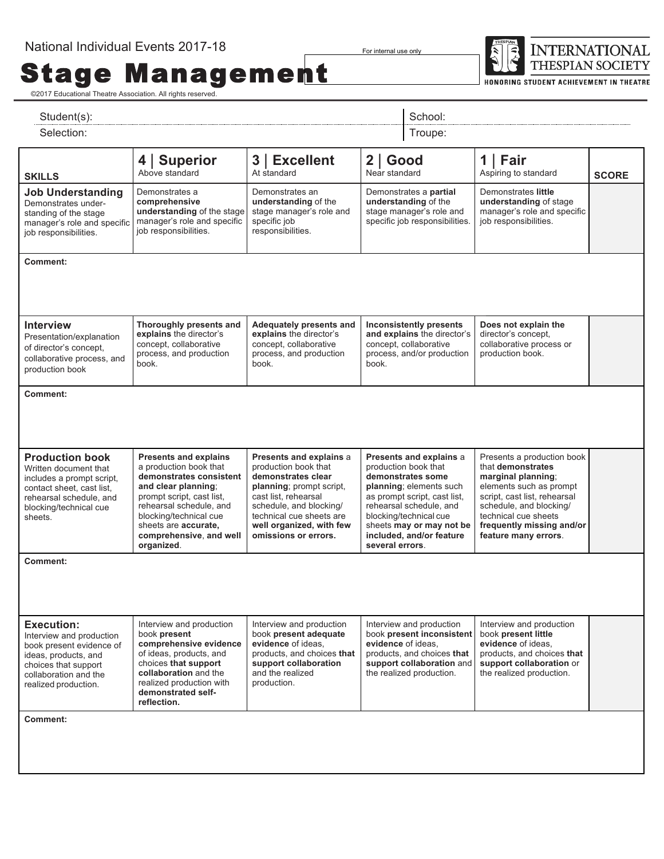**Stage Management** 

For internal use only



HONORING STUDENT ACHIEVEMENT IN THEATRE

| Student(s):                                                                                                                                                                |                                                                                                                                                                                                                                                             | School:                                                                                                                                                                                                                              |                                                                                                                                                                                                                                                                 |                                                                                                                                              |                                                                                                                                                                                                                                          |              |  |
|----------------------------------------------------------------------------------------------------------------------------------------------------------------------------|-------------------------------------------------------------------------------------------------------------------------------------------------------------------------------------------------------------------------------------------------------------|--------------------------------------------------------------------------------------------------------------------------------------------------------------------------------------------------------------------------------------|-----------------------------------------------------------------------------------------------------------------------------------------------------------------------------------------------------------------------------------------------------------------|----------------------------------------------------------------------------------------------------------------------------------------------|------------------------------------------------------------------------------------------------------------------------------------------------------------------------------------------------------------------------------------------|--------------|--|
| Selection:                                                                                                                                                                 |                                                                                                                                                                                                                                                             |                                                                                                                                                                                                                                      | Troupe:                                                                                                                                                                                                                                                         |                                                                                                                                              |                                                                                                                                                                                                                                          |              |  |
| <b>SKILLS</b>                                                                                                                                                              | <b>Superior</b><br>4 I<br>Above standard                                                                                                                                                                                                                    | 3 <br><b>Excellent</b><br>At standard                                                                                                                                                                                                | $2  $ Good<br>Near standard                                                                                                                                                                                                                                     |                                                                                                                                              | Fair<br>$\mathbf 1$<br>Aspiring to standard                                                                                                                                                                                              | <b>SCORE</b> |  |
| <b>Job Understanding</b><br>Demonstrates under-<br>standing of the stage<br>manager's role and specific<br>job responsibilities.                                           | Demonstrates a<br>comprehensive<br>understanding of the stage<br>manager's role and specific<br>job responsibilities.                                                                                                                                       | Demonstrates an<br>understanding of the<br>stage manager's role and<br>specific job<br>responsibilities.                                                                                                                             | Demonstrates a partial<br>understanding of the<br>stage manager's role and<br>specific job responsibilities.                                                                                                                                                    |                                                                                                                                              | Demonstrates little<br>understanding of stage<br>manager's role and specific<br>job responsibilities.                                                                                                                                    |              |  |
| Comment:                                                                                                                                                                   |                                                                                                                                                                                                                                                             |                                                                                                                                                                                                                                      |                                                                                                                                                                                                                                                                 |                                                                                                                                              |                                                                                                                                                                                                                                          |              |  |
| <b>Interview</b><br>Presentation/explanation<br>of director's concept,<br>collaborative process, and<br>production book                                                    | Thoroughly presents and<br>explains the director's<br>concept, collaborative<br>process, and production<br>book.                                                                                                                                            | Adequately presents and<br>explains the director's<br>concept, collaborative<br>process, and production<br>book.                                                                                                                     | <b>Inconsistently presents</b><br>and explains the director's<br>concept, collaborative<br>process, and/or production<br>book.                                                                                                                                  |                                                                                                                                              | Does not explain the<br>director's concept.<br>collaborative process or<br>production book.                                                                                                                                              |              |  |
| Comment:                                                                                                                                                                   |                                                                                                                                                                                                                                                             |                                                                                                                                                                                                                                      |                                                                                                                                                                                                                                                                 |                                                                                                                                              |                                                                                                                                                                                                                                          |              |  |
| <b>Production book</b><br>Written document that<br>includes a prompt script,<br>contact sheet, cast list,<br>rehearsal schedule, and<br>blocking/technical cue<br>sheets.  | <b>Presents and explains</b><br>a production book that<br>demonstrates consistent<br>and clear planning;<br>prompt script, cast list,<br>rehearsal schedule, and<br>blocking/technical cue<br>sheets are accurate,<br>comprehensive, and well<br>organized. | Presents and explains a<br>production book that<br>demonstrates clear<br>planning; prompt script,<br>cast list, rehearsal<br>schedule, and blocking/<br>technical cue sheets are<br>well organized, with few<br>omissions or errors. | Presents and explains a<br>production book that<br>demonstrates some<br>planning; elements such<br>as prompt script, cast list,<br>rehearsal schedule, and<br>blocking/technical cue<br>sheets may or may not be<br>included, and/or feature<br>several errors. |                                                                                                                                              | Presents a production book<br>that demonstrates<br>marginal planning;<br>elements such as prompt<br>script, cast list, rehearsal<br>schedule, and blocking/<br>technical cue sheets<br>frequently missing and/or<br>feature many errors. |              |  |
| Comment:                                                                                                                                                                   |                                                                                                                                                                                                                                                             |                                                                                                                                                                                                                                      |                                                                                                                                                                                                                                                                 |                                                                                                                                              |                                                                                                                                                                                                                                          |              |  |
| <b>Execution:</b><br>Interview and production<br>book present evidence of<br>ideas, products, and<br>choices that support<br>collaboration and the<br>realized production. | Interview and production<br>book present<br>comprehensive evidence<br>of ideas, products, and<br>choices that support<br>collaboration and the<br>realized production with<br>demonstrated self-<br>reflection.                                             | Interview and production<br>book present adequate<br>evidence of ideas.<br>products, and choices that<br>support collaboration<br>and the realized<br>production.                                                                    | evidence of ideas.                                                                                                                                                                                                                                              | Interview and production<br>book present inconsistent<br>products, and choices that<br>support collaboration and<br>the realized production. | Interview and production<br>book present little<br>evidence of ideas.<br>products, and choices that<br>support collaboration or<br>the realized production.                                                                              |              |  |
| Comment:                                                                                                                                                                   |                                                                                                                                                                                                                                                             |                                                                                                                                                                                                                                      |                                                                                                                                                                                                                                                                 |                                                                                                                                              |                                                                                                                                                                                                                                          |              |  |